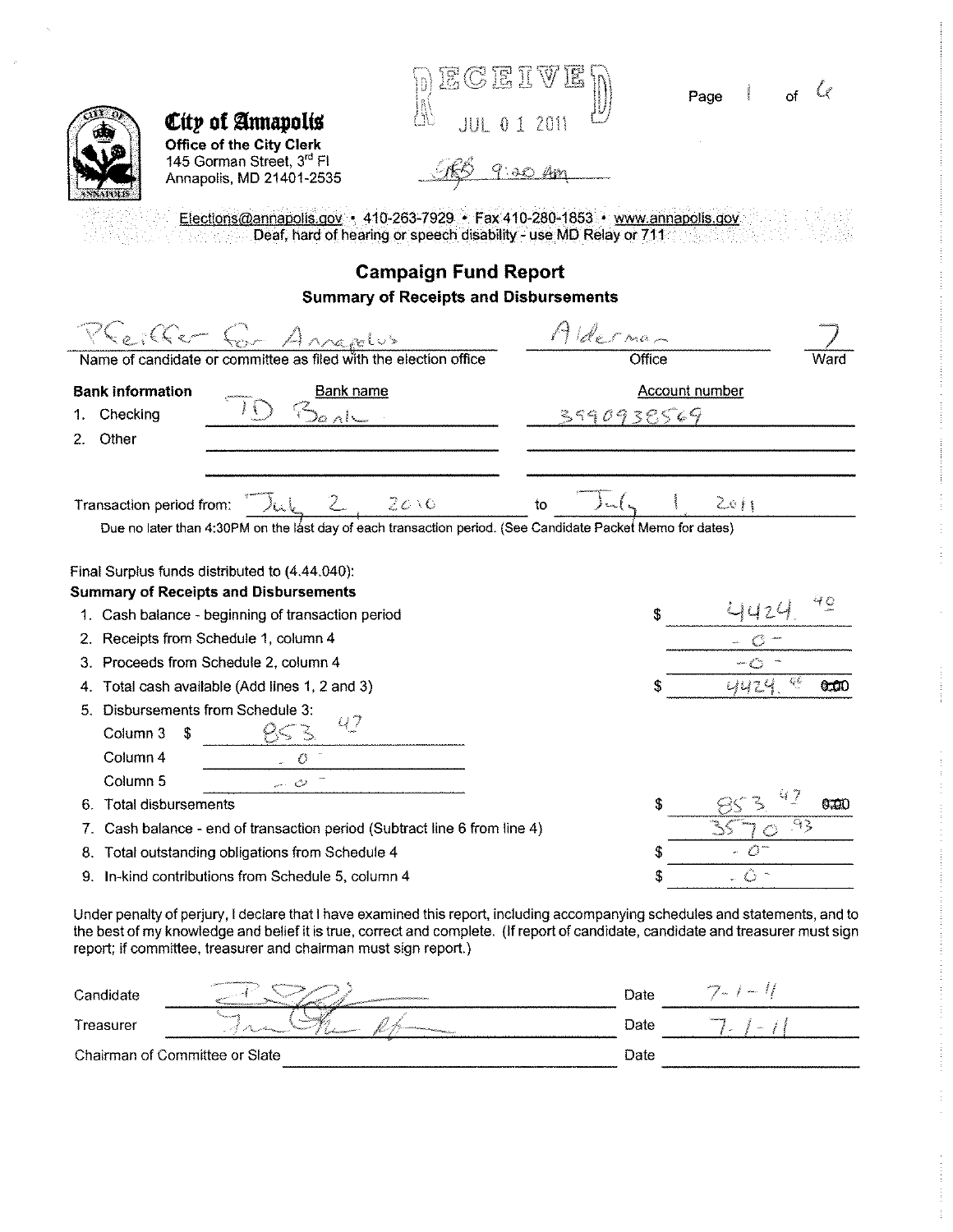| City of Annapolis<br><b>Office of the City Clerk</b><br>145 Gorman Street, 3rd Fl<br>Annapolis, MD 21401-2535<br><b>SNADALIS</b><br>Elections@annapolis.gov + 410-263-7929 + Fax 410-280-1853 + www.annapolis.gov<br>Deaf, hard of hearing or speech disability - use MD Relay or 711                                                | ECEIV<br><b>Campaign Fund Report</b>         |            |        | Page                  |                 |
|--------------------------------------------------------------------------------------------------------------------------------------------------------------------------------------------------------------------------------------------------------------------------------------------------------------------------------------|----------------------------------------------|------------|--------|-----------------------|-----------------|
|                                                                                                                                                                                                                                                                                                                                      | <b>Summary of Receipts and Disbursements</b> |            |        |                       |                 |
| Ceiller four Annapolus<br>Name of candidate or committee as filed with the election office                                                                                                                                                                                                                                           |                                              | Alderman   | Office |                       | ward            |
| <b>Bank information</b><br><b>Bank name</b><br>Checking<br>1.<br>Other<br>2.                                                                                                                                                                                                                                                         |                                              | 3990938569 |        | <b>Account number</b> |                 |
| Transaction period from:<br>Due no later than 4:30PM on the last day of each transaction period. (See Candidate Packet Memo for dates)                                                                                                                                                                                               | 20.0                                         | to         |        | 2011                  |                 |
| Final Surplus funds distributed to (4.44.040):<br><b>Summary of Receipts and Disbursements</b>                                                                                                                                                                                                                                       |                                              |            |        |                       |                 |
| 1. Cash balance - beginning of transaction period                                                                                                                                                                                                                                                                                    |                                              |            |        |                       |                 |
| 2. Receipts from Schedule 1, column 4                                                                                                                                                                                                                                                                                                |                                              |            |        |                       |                 |
| 3. Proceeds from Schedule 2, column 4                                                                                                                                                                                                                                                                                                |                                              |            |        |                       |                 |
| 4. Total cash available (Add lines 1, 2 and 3)                                                                                                                                                                                                                                                                                       |                                              |            |        | 442                   | Ç<br>6.LO       |
| 5. Disbursements from Schedule 3:<br>47<br>Column 3 \$                                                                                                                                                                                                                                                                               |                                              |            |        |                       |                 |
| Column 4<br>O                                                                                                                                                                                                                                                                                                                        |                                              |            |        |                       |                 |
| Column 5<br>ت<br><b>Total disbursements</b><br>6.                                                                                                                                                                                                                                                                                    |                                              |            | S      |                       | 6.TO            |
| Cash balance - end of transaction period (Subtract line 6 from line 4)<br>7.                                                                                                                                                                                                                                                         |                                              |            |        |                       | $\alpha$ $\geq$ |
| Total outstanding obligations from Schedule 4<br>8.                                                                                                                                                                                                                                                                                  |                                              |            |        |                       |                 |
| In-kind contributions from Schedule 5, column 4<br>9.                                                                                                                                                                                                                                                                                |                                              |            | \$     | €                     |                 |
| Under penalty of perjury, I declare that I have examined this report, including accompanying schedules and statements, and to<br>the best of my knowledge and belief it is true, correct and complete. (If report of candidate, candidate and treasurer must sign<br>report; if committee, treasurer and chairman must sign report.) |                                              |            |        |                       |                 |
| Candidate                                                                                                                                                                                                                                                                                                                            |                                              | Date       |        |                       |                 |
| Treasurer                                                                                                                                                                                                                                                                                                                            |                                              | Date       |        |                       |                 |
| Chairman of Committee or Slate                                                                                                                                                                                                                                                                                                       |                                              | Date       |        |                       |                 |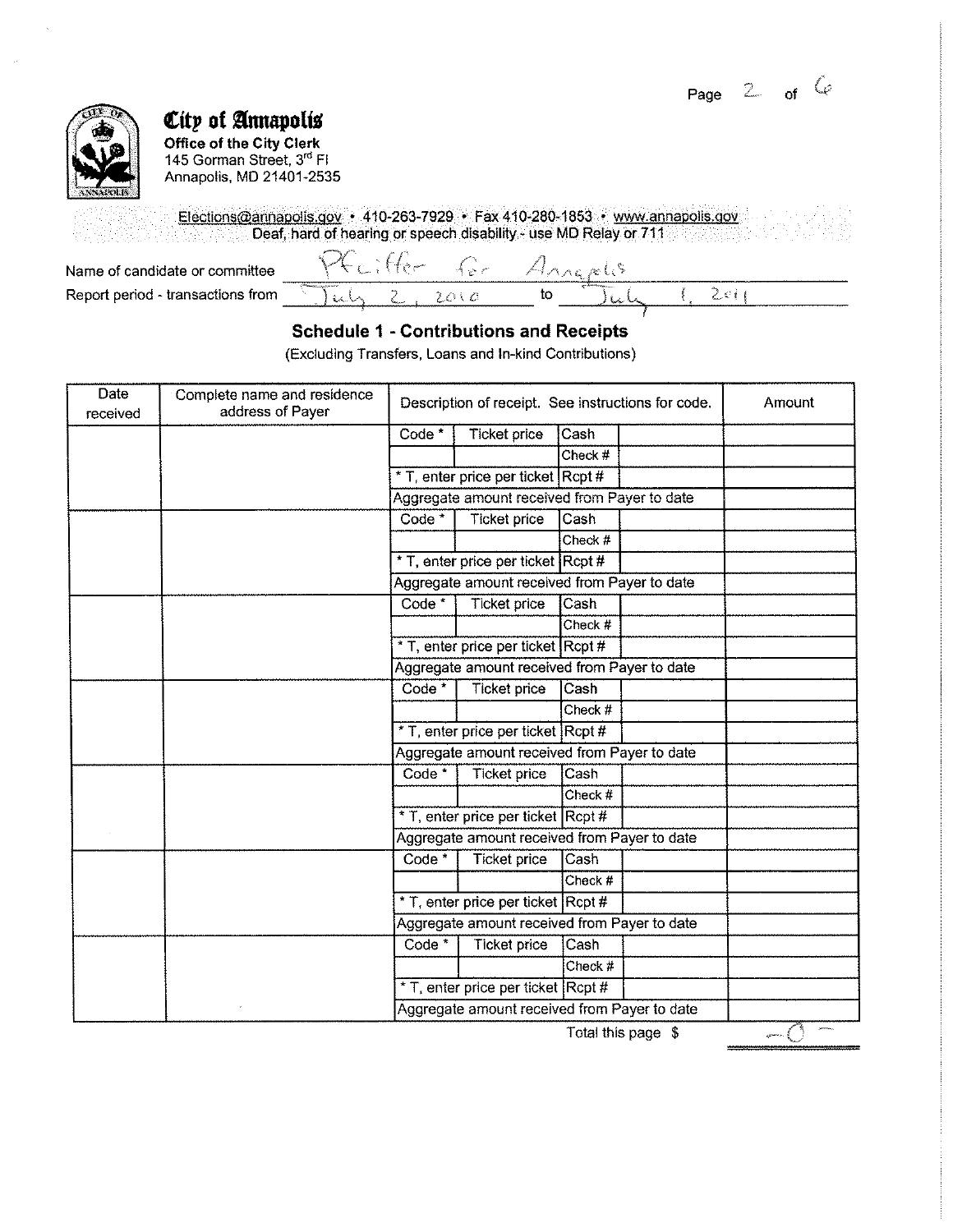Page  $2$  of  $\check{C}$ 



## *City of Annapolis*

**Office of the City Clerk**  145 Gorman Street, 3<sup>rd</sup> Fl Annapolis, MD 21401-2535

Elections@annapolis.gov • 410-263-7929 • Fax 410-280-1853 • www.annapolis.gov Deaf, hard of hearing or speech disability - use MD Relay or 711

Name of candidate or committee Report period - transactions from

| 53<br>-<br><b>Barn</b>                    | s.,<br>المحداث | <b>Service</b> | <b>Service</b> | The Contract                                |  |  |
|-------------------------------------------|----------------|----------------|----------------|---------------------------------------------|--|--|
| <b>MARKET AND COMPANY</b><br>and the con- | <b>HN</b>      |                | w              | an Spallmonteguessen<br>المستحققة المستبرين |  |  |

### **Schedule 1 -Contributions and Receipts**

(Excluding Transfers, Loans and In-kind Contributions)

| Date<br>received | Complete name and residence<br>address of Payer |                                              | Description of receipt. See instructions for code. |         |                    | Amount |
|------------------|-------------------------------------------------|----------------------------------------------|----------------------------------------------------|---------|--------------------|--------|
|                  |                                                 | Code <sup>*</sup>                            | Ticket price                                       | Cash    |                    |        |
|                  |                                                 |                                              |                                                    | Check # |                    |        |
|                  |                                                 |                                              | * T, enter price per ticket Rcpt #                 |         |                    |        |
|                  |                                                 |                                              | Aggregate amount received from Payer to date       |         |                    |        |
|                  |                                                 | Code <sup>*</sup>                            | <b>Ticket price</b>                                | Cash    |                    |        |
|                  |                                                 |                                              |                                                    | Check # |                    |        |
|                  |                                                 |                                              | * T, enter price per ticket Rcpt #                 |         |                    |        |
|                  |                                                 |                                              | Aggregate amount received from Payer to date       |         |                    |        |
|                  |                                                 | $Code*$                                      | <b>Ticket price</b>                                | Cash    |                    |        |
|                  |                                                 |                                              |                                                    | Check # |                    |        |
|                  |                                                 |                                              | * T, enter price per ticket Rcpt #                 |         |                    |        |
|                  |                                                 | Aggregate amount received from Payer to date |                                                    |         |                    |        |
|                  |                                                 | Code <sup>*</sup>                            | <b>Ticket price</b>                                | Cash    |                    |        |
|                  |                                                 |                                              |                                                    | Check # |                    |        |
|                  |                                                 |                                              | * T, enter price per ticket Rcpt #                 |         |                    |        |
|                  |                                                 |                                              | Aggregate amount received from Payer to date       |         |                    |        |
|                  |                                                 | Code *                                       | <b>Ticket price</b>                                | Cash    |                    |        |
|                  |                                                 |                                              |                                                    | Check # |                    |        |
|                  |                                                 |                                              | * T, enter price per ticket Rcpt #                 |         |                    |        |
|                  |                                                 |                                              | Aggregate amount received from Payer to date       |         |                    |        |
|                  |                                                 | Code <sup>*</sup>                            | Ticket price                                       | Cash    |                    |        |
|                  |                                                 |                                              |                                                    | Check # |                    |        |
|                  |                                                 |                                              | * T, enter price per ticket Rcpt #                 |         |                    |        |
|                  |                                                 | Aggregate amount received from Payer to date |                                                    |         |                    |        |
|                  |                                                 | Code <sup>*</sup>                            | <b>Ticket price</b>                                | Cash    |                    |        |
|                  |                                                 |                                              |                                                    | Check # |                    |        |
|                  |                                                 |                                              | * T, enter price per ticket Rcpt #                 |         |                    |        |
|                  |                                                 |                                              | Aggregate amount received from Payer to date       |         |                    |        |
|                  |                                                 |                                              |                                                    |         | Total this page \$ |        |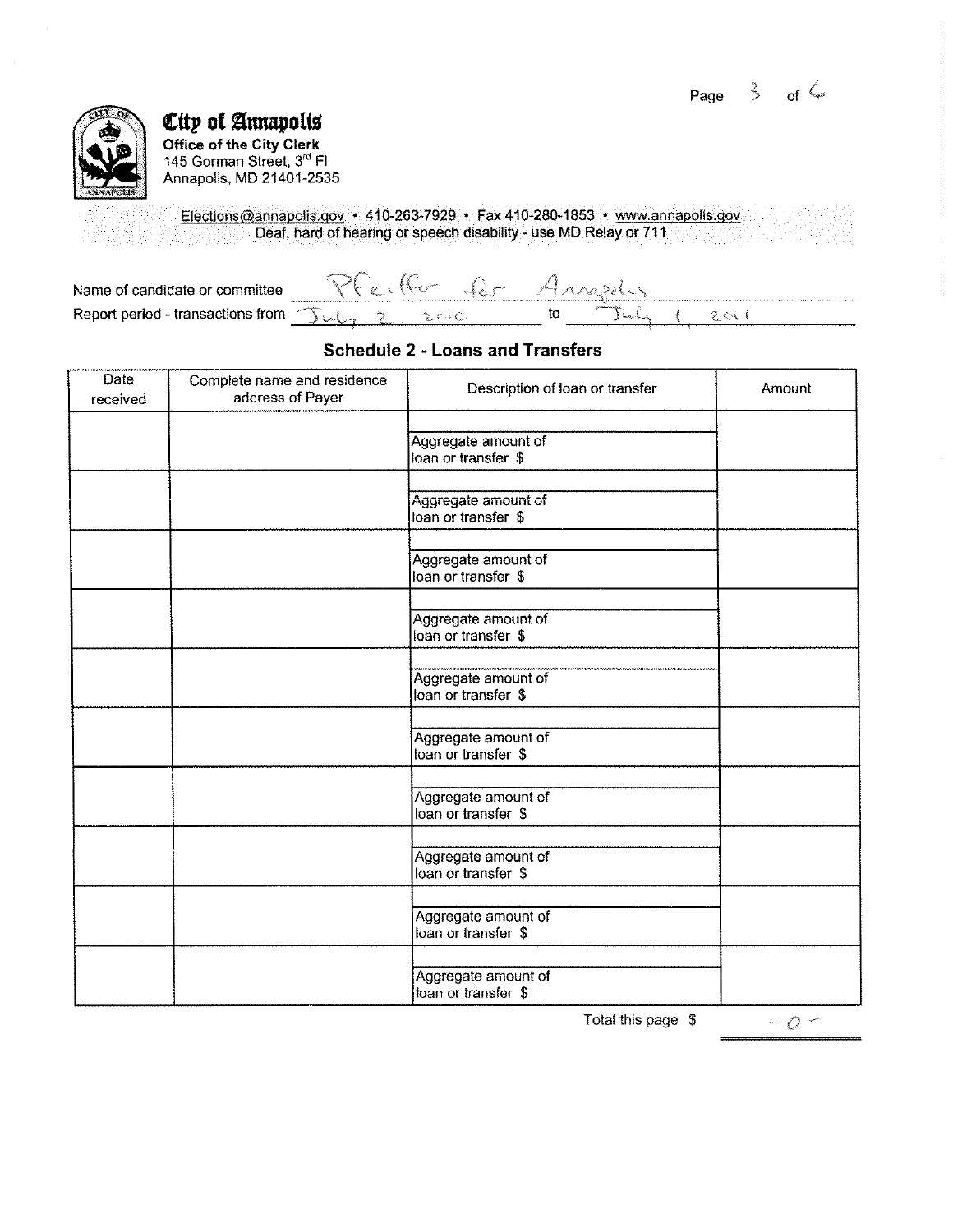

*Citp* **of annapoliS Office of the City Clerk**  145 Gorman Street, 3'• Fl Annapolis, MD 21401-2535

> Elections@annapolis.gov • 410-263-7929 • Fax 410-280-1853 • www.annapolis.gov Deaf, hard of hearing or speech disability- use MD Relay or 711

| Name of candidate or committee                          | Ke Q- Ann |  |
|---------------------------------------------------------|-----------|--|
| Report period - transactions from $\sum_{k=1}^{\infty}$ |           |  |

### **Schedule 2 - Loans and Transfers**

| <b>Date</b><br>received | Complete name and residence<br>address of Payer | Description of loan or transfer            | Amount |
|-------------------------|-------------------------------------------------|--------------------------------------------|--------|
|                         |                                                 | Aggregate amount of<br>loan or transfer \$ |        |
|                         |                                                 | Aggregate amount of<br>loan or transfer \$ |        |
|                         |                                                 | Aggregate amount of<br>loan or transfer \$ |        |
|                         |                                                 | Aggregate amount of<br>loan or transfer \$ |        |
|                         |                                                 | Aggregate amount of<br>loan or transfer \$ |        |
|                         |                                                 | Aggregate amount of<br>loan or transfer \$ |        |
|                         |                                                 | Aggregate amount of<br>loan or transfer \$ |        |
|                         |                                                 | Aggregate amount of<br>loan or transfer \$ |        |
|                         |                                                 | Aggregate amount of<br>loan or transfer \$ |        |
|                         |                                                 | Aggregate amount of<br>loan or transfer \$ |        |

Total this page \$

 $\sim$  0  $\sim$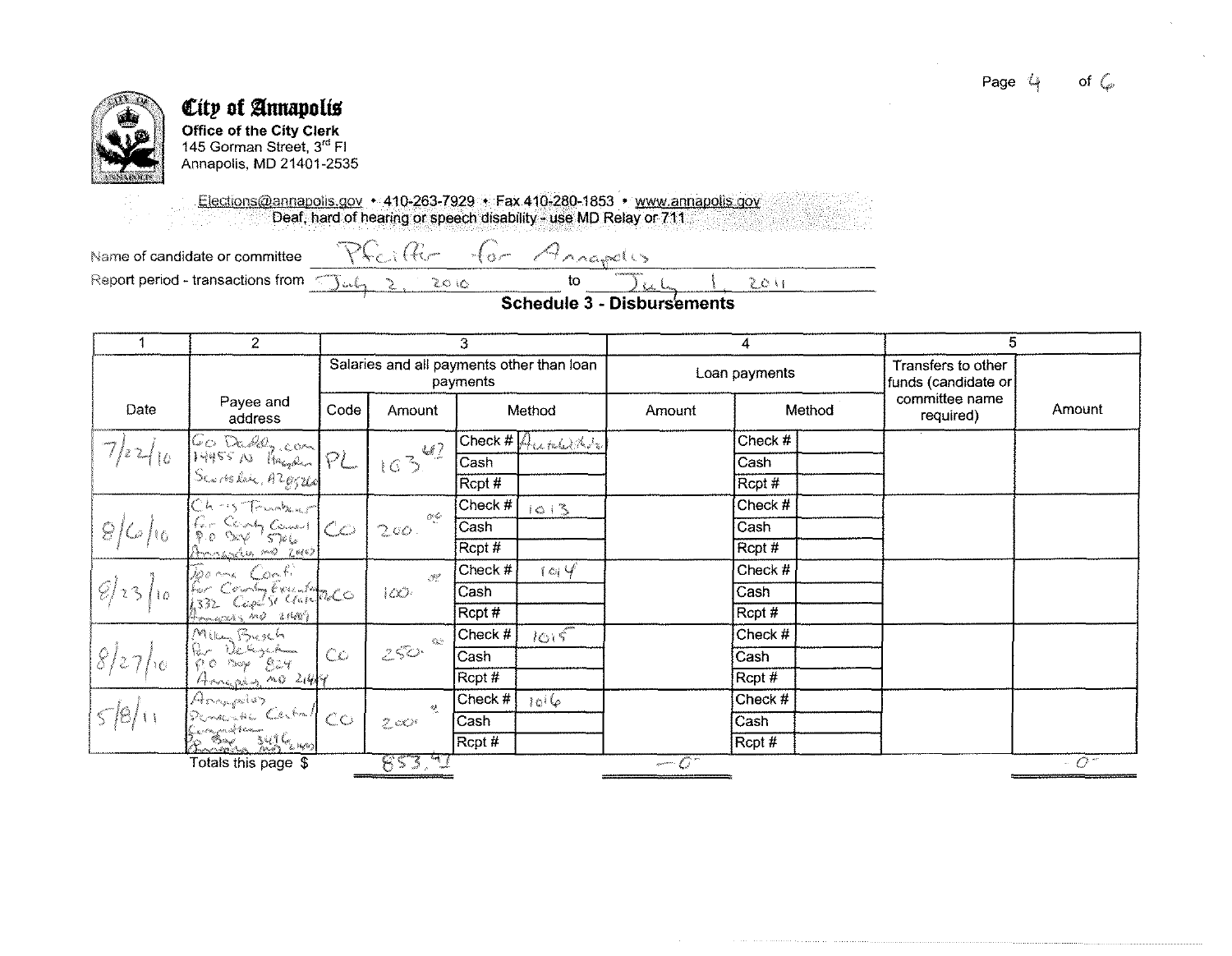

# City of Annapolis Office of the City Clerk<br>145 Gorman Street, 3<sup>rd</sup> Fl

Annapolis, MD 21401-2535

Elections@annapolis.gov • 410-263-7929 • Fax 410-280-1853 • www.annapolis.gov Deaf, hard of hearing or speech disability - use MD Relay or 711

 $20R$ 

2

Name of candidate or committee

 $\mathcal{PC}_{\epsilon}$  ;  $\mathcal{C}_{\epsilon-}$ Arrapolis  $+6$   $-$ 

Report period - transactions from < سماحة (

**Schedule 3 - Disbursements** 

 $2011$ 

 $\mathfrak{t}$ 

| 4                              | $\overline{2}$                                                                                 | 3    |                                                                                        |           | 4                                          |                |           | 5 |                                           |                    |
|--------------------------------|------------------------------------------------------------------------------------------------|------|----------------------------------------------------------------------------------------|-----------|--------------------------------------------|----------------|-----------|---|-------------------------------------------|--------------------|
|                                |                                                                                                |      | Salaries and all payments other than loan                                              | payments  |                                            | Loan payments  |           |   | Transfers to other<br>funds (candidate or |                    |
| Date                           | Payee and<br>address                                                                           | Code | Amount                                                                                 |           | Method                                     | Amount         | Method    |   | committee name<br>required)               | Amount             |
|                                |                                                                                                |      | 47                                                                                     |           | $C$ heck # $A$ <sub>tetel</sub> $M_{\ell}$ |                | Check #   |   |                                           |                    |
| $7k^2 _{10}$                   | GO Dadely com<br>14455 No Handen PL                                                            |      | 163                                                                                    | Cash      |                                            |                | Cash      |   |                                           |                    |
|                                |                                                                                                |      |                                                                                        | Rcpt #    |                                            |                | Rcpt#     |   |                                           |                    |
|                                |                                                                                                |      |                                                                                        | Check #   | 1013                                       |                | Check #   |   |                                           |                    |
| 8/6/6                          | Christoanhaut<br>Per Cont Comment                                                              |      | $\mathcal{O}^{\mathcal{A}}$<br>200.                                                    | Cash      |                                            |                | Cash      |   |                                           |                    |
|                                | tranche no zuis                                                                                |      |                                                                                        | Rcpt #    |                                            |                | Rcpt#     |   |                                           |                    |
|                                | Deems Confi                                                                                    |      | $\mathcal{R}^{\mathcal{P}}$                                                            | Check $#$ | 104                                        |                | Check $#$ |   |                                           |                    |
| $\mathcal{D}$ is $\mathcal{D}$ | County Execution                                                                               |      | CC                                                                                     | Cash      |                                            |                | Cash      |   |                                           |                    |
|                                | 4 mars no 21407                                                                                |      |                                                                                        | Rcpt #    |                                            |                | Rcpt#     |   |                                           |                    |
|                                | Millen Busch                                                                                   |      | $\hat{\mathcal{N}}_{\text{c},\text{dec}}^{N_{\text{c}}}\hat{\mathcal{N}}_{\text{enc}}$ | Check $#$ | 1015                                       |                | Check #   |   |                                           |                    |
| 8/27/6                         | $\int_{\mathcal{V}}$ and $\int_{\mathcal{V}}$<br>Run Deshiyas <del>hini</del><br>1900 May 1924 | CO   | $250 -$                                                                                | Cash      |                                            |                | Cash      |   |                                           |                    |
|                                | Annapin no 214/                                                                                |      |                                                                                        | Rcpt #    |                                            |                | Rcpt#     |   |                                           |                    |
|                                | Anapolis<br>Penante Certal                                                                     |      | $\mathbb{Q}^k$                                                                         | Check $#$ | $10^{16}$                                  |                | Check #   |   |                                           |                    |
| 5/6/11                         |                                                                                                | cc   | $Z \propto r$                                                                          | Cash      |                                            |                | Cash      |   |                                           |                    |
|                                | Congression<br>Broadman 3<br>3496 Lupo                                                         |      |                                                                                        | Rcpt #    |                                            |                | Rcpt #    |   |                                           |                    |
|                                | Totals this page \$                                                                            |      | 853.50                                                                                 |           |                                            | $\overline{C}$ |           |   |                                           | $\sim$ 0 $\degree$ |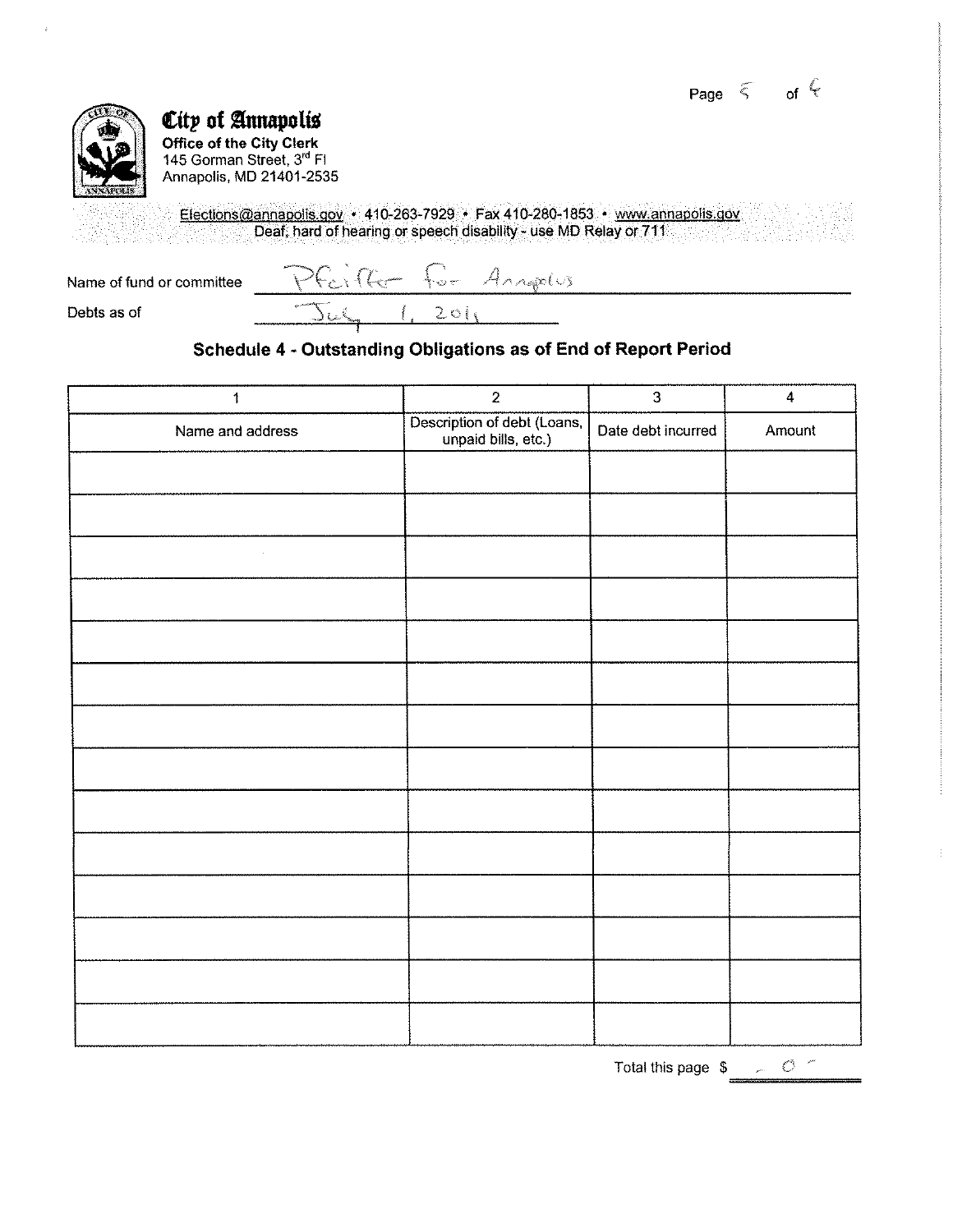Page  $\leq$  of  $\leq$ 



## $\varepsilon$ ity of Annapolis

**Office of the City Clerk**  145 Gorman Street, 3'' Fl Annapolis, MD 21401-2535

> Elections@annaoolis.gov • 410-263-7929 • Fax 410-280-1853 • www.annaoolis.gov Deaf, hard of hearing or speech disability- use MD Relay or 711

<u>Foille for Angelus</u> Name of fund or committee  $201$  $\overline{\text{C}}$ Debts as of

### **Schedule 4 - Outstanding Obligations as of End of Report Period**

| $\ddagger$       | $\overline{2}$                                     | $\overline{3}$     | $\overline{\mathbf{4}}$ |
|------------------|----------------------------------------------------|--------------------|-------------------------|
| Name and address | Description of debt (Loans,<br>unpaid bills, etc.) | Date debt incurred | Amount                  |
|                  |                                                    |                    |                         |
|                  |                                                    |                    |                         |
| $\epsilon$       |                                                    |                    |                         |
|                  |                                                    |                    |                         |
|                  |                                                    |                    |                         |
|                  |                                                    |                    |                         |
|                  |                                                    |                    |                         |
|                  |                                                    |                    |                         |
|                  |                                                    |                    |                         |
|                  |                                                    |                    |                         |
|                  |                                                    |                    |                         |
|                  |                                                    |                    |                         |
|                  |                                                    |                    |                         |
|                  |                                                    |                    |                         |

Total this page  $\frac{1}{2}$